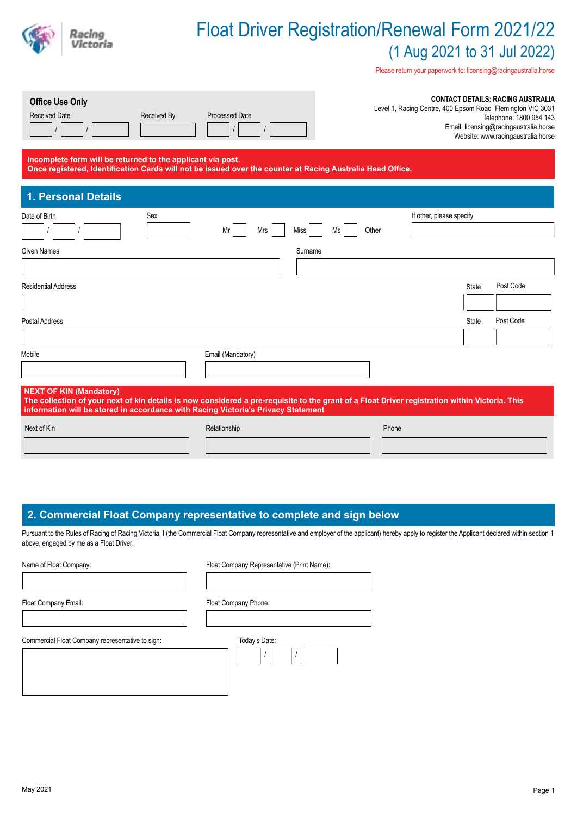

# Float Driver Registration/Renewal Form 2021/22 (1 Aug 2021 to 31 Jul 2022)

Please return your paperwork to: licensing@racingaustralia.horse

| <b>Office Use Only</b><br><b>Received Date</b><br>Received By                                                                                                                                                                                                         | <b>Processed Date</b>                                                                                      |                                         | <b>CONTACT DETAILS: RACING AUSTRALIA</b><br>Level 1, Racing Centre, 400 Epsom Road Flemington VIC 3031<br>Telephone: 1800 954 143<br>Email: licensing@racingaustralia.horse<br>Website: www.racingaustralia.horse |
|-----------------------------------------------------------------------------------------------------------------------------------------------------------------------------------------------------------------------------------------------------------------------|------------------------------------------------------------------------------------------------------------|-----------------------------------------|-------------------------------------------------------------------------------------------------------------------------------------------------------------------------------------------------------------------|
| Incomplete form will be returned to the applicant via post.                                                                                                                                                                                                           | Once registered, Identification Cards will not be issued over the counter at Racing Australia Head Office. |                                         |                                                                                                                                                                                                                   |
| 1. Personal Details                                                                                                                                                                                                                                                   |                                                                                                            |                                         |                                                                                                                                                                                                                   |
| Sex<br>Date of Birth                                                                                                                                                                                                                                                  | Mrs<br>Miss<br>Mr                                                                                          | If other, please specify<br>Other<br>Ms |                                                                                                                                                                                                                   |
| Given Names                                                                                                                                                                                                                                                           | Surname                                                                                                    |                                         |                                                                                                                                                                                                                   |
|                                                                                                                                                                                                                                                                       |                                                                                                            |                                         |                                                                                                                                                                                                                   |
| <b>Residential Address</b>                                                                                                                                                                                                                                            |                                                                                                            |                                         | Post Code<br>State                                                                                                                                                                                                |
| Postal Address                                                                                                                                                                                                                                                        |                                                                                                            |                                         | Post Code<br>State                                                                                                                                                                                                |
| Mobile                                                                                                                                                                                                                                                                | Email (Mandatory)                                                                                          |                                         |                                                                                                                                                                                                                   |
| <b>NEXT OF KIN (Mandatory)</b><br>The collection of your next of kin details is now considered a pre-requisite to the grant of a Float Driver registration within Victoria. This<br>information will be stored in accordance with Racing Victoria's Privacy Statement |                                                                                                            |                                         |                                                                                                                                                                                                                   |
| Next of Kin                                                                                                                                                                                                                                                           | Relationship                                                                                               | Phone                                   |                                                                                                                                                                                                                   |

### **2. Commercial Float Company representative to complete and sign below**

Pursuant to the Rules of Racing of Racing Victoria, I (the Commercial Float Company representative and employer of the applicant) hereby apply to register the Applicant declared within section 1 above, engaged by me as a Float Driver:

| Name of Float Company:                           | Float Company Representative (Print Name): |
|--------------------------------------------------|--------------------------------------------|
| Float Company Email:                             | Float Company Phone:                       |
| Commercial Float Company representative to sign: | Today's Date:                              |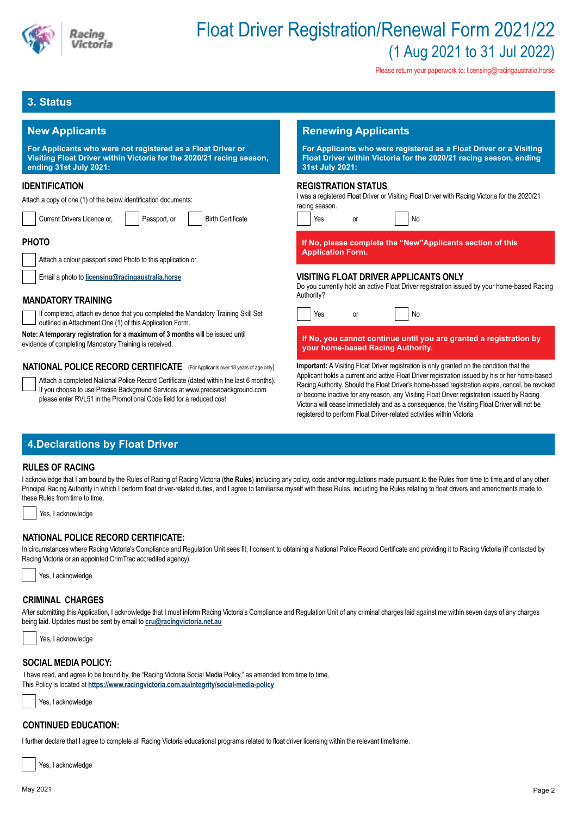

# Float Driver Registration/Renewal Form 2021/22 (1 Aug 2021 to 31 Jul 2022)

Please return your paperwork to: licensing@racingaustralia.horse

# **3. Status**

### **New Applicants**

**For Applicants who were not registered as a Float Driver or Visiting Float Driver within Victoria for the 2020/21 racing seast ending 31st July 2021:**

### **IDENTIFICATION**

Attach a copy of one (1) of the below identification documents:

|  | Current Drivers Licence or, | Passport, or | Birth Certificate |
|--|-----------------------------|--------------|-------------------|
|  |                             |              |                   |

### **PHOTO**

|  | Attach a colour passport sized Photo to this application or, |
|--|--------------------------------------------------------------|
|  |                                                              |

Email a photo to **licensing@racingaustralia.horse**

### **MANDATORY TRAINING**

If completed, attach evidence that you completed the Mandatory Training Skill outlined in Attachment One (1) of this Application Form.

**Note: A temporary registration for a maximum of 3 months** will be issued until evidence of completing Mandatory Training is received.

**NATIONAL POLICE RECORD CERTIFICATE** (For Applicants over 18 years of age only)

Attach a completed National Police Record Certificate (dated within the last 6 n If you choose to use Precise Background Services at www.precisebackground.com please enter RVL51 in the Promotional Code field for a reduced cost

|                       | <b>Renewing Applicants</b>                                                                                                                                                                                                                                                                           |  |  |  |  |
|-----------------------|------------------------------------------------------------------------------------------------------------------------------------------------------------------------------------------------------------------------------------------------------------------------------------------------------|--|--|--|--|
| son,                  | For Applicants who were registered as a Float Driver or a Visiting<br>Float Driver within Victoria for the 2020/21 racing season, ending<br>31st July 2021:                                                                                                                                          |  |  |  |  |
|                       | <b>REGISTRATION STATUS</b><br>I was a registered Float Driver or Visiting Float Driver with Racing Victoria for the 2020/21<br>racing season.<br>Yes<br>No<br>or                                                                                                                                     |  |  |  |  |
|                       | If No, please complete the "New"Applicants section of this<br><b>Application Form.</b>                                                                                                                                                                                                               |  |  |  |  |
|                       | <b>VISITING FLOAT DRIVER APPLICANTS ONLY</b><br>Do you currently hold an active Float Driver registration issued by your home-based Racing<br>Authority?                                                                                                                                             |  |  |  |  |
| Set                   | Yes<br>No<br><b>or</b>                                                                                                                                                                                                                                                                               |  |  |  |  |
|                       | If No, you cannot continue until you are granted a registration by<br>your home-based Racing Authority.                                                                                                                                                                                              |  |  |  |  |
| age only)<br>nonths). | <b>Important:</b> A Visiting Float Driver registration is only granted on the condition that the<br>Applicant holds a current and active Float Driver registration issued by his or her home-based<br>Darian Arthreib, Oberlebber Fleet Difficult began begand gestetztige ersche gewend beganntend. |  |  |  |  |

Racing Authority. Should the Float Driver's home-based registration expire, cancel, be revoked or become inactive for any reason, any Visiting Float Driver registration issued by Racing Victoria will cease immediately and as a consequence, the Visiting Float Driver will not be registered to perform Float Driver-related activities within Victoria

# **4.Declarations by Float Driver**

### **RULES OF RACING**

I acknowledge that I am bound by the Rules of Racing of Racing Victoria (the Rules) including any policy, code and/or regulations made pursuant to the Rules from time to time,and of any other Principal Racing Authority in which I perform float driver-related duties, and I agree to familiarise myself with these Rules, including the Rules relating to float drivers and amendments made to these Rules from time to time.



# **NATIONAL POLICE RECORD CERTIFICATE:**

In circumstances where Racing Victoria's Compliance and Regulation Unit sees fit, I consent to obtaining a National Police Record Certificate and providing it to Racing Victoria (if contacted by Racing Victoria or an appointed CrimTrac accredited agency).

| Yes, I acknowledge |  |
|--------------------|--|
|--------------------|--|

## **CRIMINAL CHARGES**

After submitting this Application, I acknowledge that I must inform Racing Victoria's Compliance and Regulation Unit of any criminal charges laid against me within seven days of any charges being laid. Updates must be sent by email to **cru@racingvictoria.net.au**



### **SOCIAL MEDIA POLICY:**

 I have read, and agree to be bound by, the "Racing Victoria Social Media Policy," as amended from time to time. This Policy is located at **https://www.racingvictoria.com.au/integrity/social-media-policy**

Yes, I acknowledge

### **CONTINUED EDUCATION:**

I further declare that I agree to complete all Racing Victoria educational programs related to float driver licensing within the relevant timeframe.

Yes, I acknowledge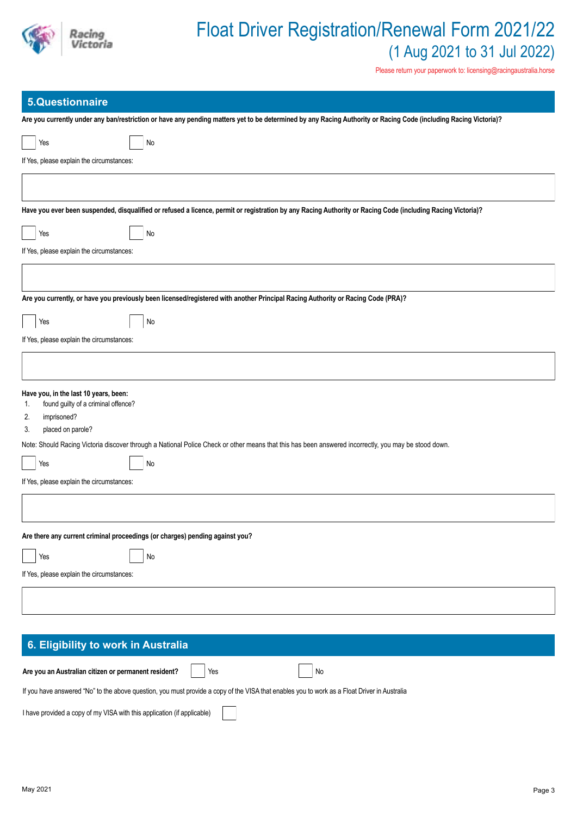

| <b>5.Questionnaire</b>                                                                                                                                           |
|------------------------------------------------------------------------------------------------------------------------------------------------------------------|
| Are you currently under any ban/restriction or have any pending matters yet to be determined by any Racing Authority or Racing Code (including Racing Victoria)? |
| Yes<br>No                                                                                                                                                        |
| If Yes, please explain the circumstances:                                                                                                                        |
|                                                                                                                                                                  |
| Have you ever been suspended, disqualified or refused a licence, permit or registration by any Racing Authority or Racing Code (including Racing Victoria)?      |
| No                                                                                                                                                               |
| Yes                                                                                                                                                              |
| If Yes, please explain the circumstances:                                                                                                                        |
|                                                                                                                                                                  |
| Are you currently, or have you previously been licensed/registered with another Principal Racing Authority or Racing Code (PRA)?                                 |
| $\mathsf{No}$<br>Yes                                                                                                                                             |
| If Yes, please explain the circumstances:                                                                                                                        |
|                                                                                                                                                                  |
|                                                                                                                                                                  |
| Have you, in the last 10 years, been:                                                                                                                            |
| found guilty of a criminal offence?<br>1.<br>imprisoned?<br>2.                                                                                                   |
| placed on parole?<br>3.                                                                                                                                          |
| Note: Should Racing Victoria discover through a National Police Check or other means that this has been answered incorrectly, you may be stood down.             |
| No<br>Yes                                                                                                                                                        |
| If Yes, please explain the circumstances:                                                                                                                        |
|                                                                                                                                                                  |
|                                                                                                                                                                  |
| Are there any current criminal proceedings (or charges) pending against you?                                                                                     |
| $\operatorname{\mathsf{No}}$<br>Yes                                                                                                                              |
| If Yes, please explain the circumstances:                                                                                                                        |
|                                                                                                                                                                  |
|                                                                                                                                                                  |
|                                                                                                                                                                  |
| 6. Eligibility to work in Australia                                                                                                                              |
| Are you an Australian citizen or permanent resident?<br>No<br>Yes                                                                                                |
| If you have answered "No" to the above question, you must provide a copy of the VISA that enables you to work as a Float Driver in Australia                     |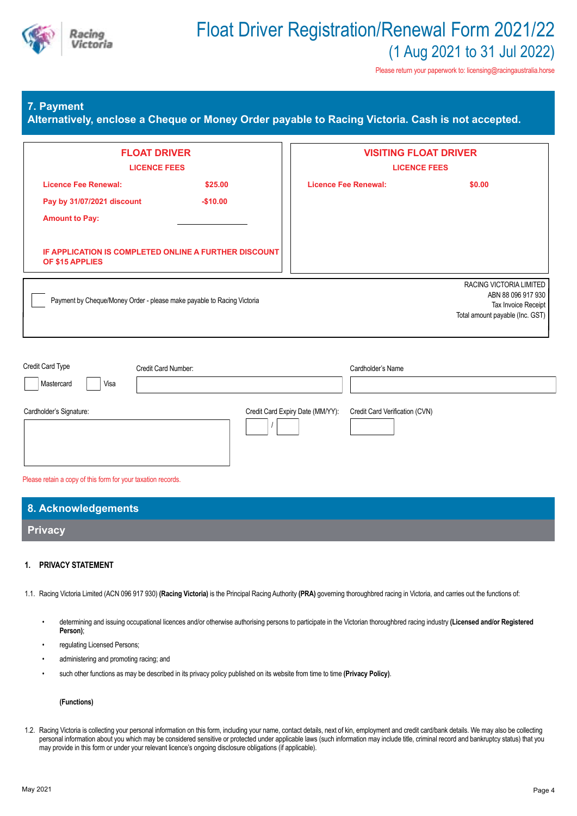

# **7. Payment**

**Alternatively, enclose a Cheque or Money Order payable to Racing Victoria. Cash is not accepted.**

| <b>FLOAT DRIVER</b><br><b>LICENCE FEES</b>                                              |                                                                        | <b>VISITING FLOAT DRIVER</b><br><b>LICENCE FEES</b> |                                |                                                                                                         |  |
|-----------------------------------------------------------------------------------------|------------------------------------------------------------------------|-----------------------------------------------------|--------------------------------|---------------------------------------------------------------------------------------------------------|--|
| <b>Licence Fee Renewal:</b>                                                             | \$25.00                                                                | <b>Licence Fee Renewal:</b>                         |                                | \$0.00                                                                                                  |  |
| Pay by 31/07/2021 discount                                                              | $-$10.00$                                                              |                                                     |                                |                                                                                                         |  |
| <b>Amount to Pay:</b>                                                                   |                                                                        |                                                     |                                |                                                                                                         |  |
| OF \$15 APPLIES                                                                         | IF APPLICATION IS COMPLETED ONLINE A FURTHER DISCOUNT                  |                                                     |                                |                                                                                                         |  |
|                                                                                         | Payment by Cheque/Money Order - please make payable to Racing Victoria |                                                     |                                | RACING VICTORIA LIMITED<br>ABN 88 096 917 930<br>Tax Invoice Receipt<br>Total amount payable (Inc. GST) |  |
| Credit Card Type<br>Mastercard<br>Visa                                                  | Credit Card Number:                                                    |                                                     | Cardholder's Name              |                                                                                                         |  |
| Cardholder's Signature:<br>Please retain a copy of this form for your taxation records. |                                                                        | Credit Card Expiry Date (MM/YY):                    | Credit Card Verification (CVN) |                                                                                                         |  |

**8. Acknowledgements Privacy**

### **1. PRIVACY STATEMENT**

- 1.1. Racing Victoria Limited (ACN 096 917 930) **(Racing Victoria)** is the Principal Racing Authority **(PRA)** governing thoroughbred racing in Victoria, and carries out the functions of:
	- determining and issuing occupational licences and/or otherwise authorising persons to participate in the Victorian thoroughbred racing industry **(Licensed and/or Registered Person)**;
	- regulating Licensed Persons:
	- administering and promoting racing; and
	- such other functions as may be described in its privacy policy published on its website from time to time **(Privacy Policy)**.

### **(Functions)**

1.2. Racing Victoria is collecting your personal information on this form, including your name, contact details, next of kin, employment and credit card/bank details. We may also be collecting personal information about you which may be considered sensitive or protected under applicable laws (such information may include title, criminal record and bankruptcy status) that you may provide in this form or under your relevant licence's ongoing disclosure obligations (if applicable).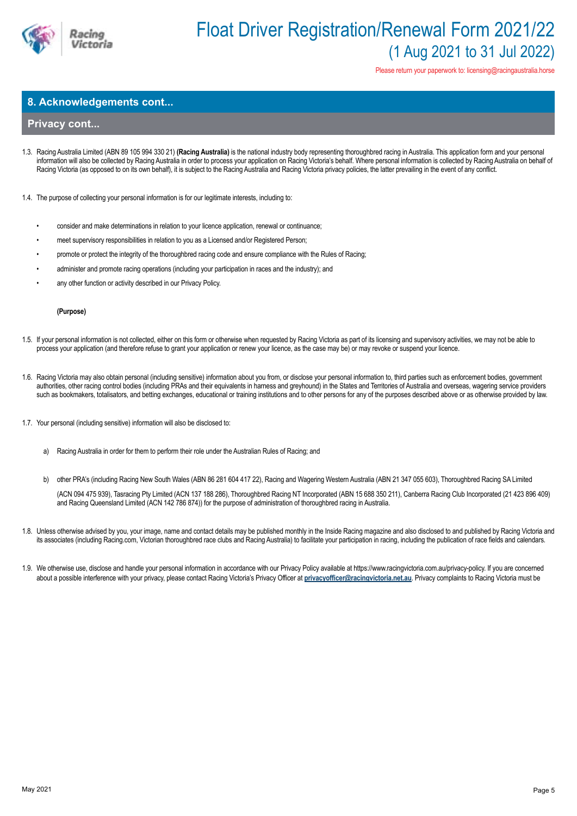

# Float Driver Registration/Renewal Form 2021/22 (1 Aug 2021 to 31 Jul 2022)

Please return your paperwork to: licensing@racingaustralia.horse

### **8. Acknowledgements cont...**

### **Privacy cont...**

- 1.3. Racing Australia Limited (ABN 89 105 994 330 21) **(Racing Australia)** is the national industry body representing thoroughbred racing in Australia. This application form and your personal information will also be collected by Racing Australia in order to process your application on Racing Victoria's behalf. Where personal information is collected by Racing Australia on behalf of Racing Victoria (as opposed to on its own behalf), it is subject to the Racing Australia and Racing Victoria privacy policies, the latter prevailing in the event of any conflict.
- 1.4. The purpose of collecting your personal information is for our legitimate interests, including to:
	- consider and make determinations in relation to your licence application, renewal or continuance;
	- meet supervisory responsibilities in relation to you as a Licensed and/or Registered Person;
	- promote or protect the integrity of the thoroughbred racing code and ensure compliance with the Rules of Racing;
	- administer and promote racing operations (including your participation in races and the industry); and
	- any other function or activity described in our Privacy Policy.

### **(Purpose)**

- 1.5. If your personal information is not collected, either on this form or otherwise when requested by Racing Victoria as part of its licensing and supervisory activities, we may not be able to process your application (and therefore refuse to grant your application or renew your licence, as the case may be) or may revoke or suspend your licence.
- 1.6. Racing Victoria may also obtain personal (including sensitive) information about you from, or disclose your personal information to, third parties such as enforcement bodies, government authorities, other racing control bodies (including PRAs and their equivalents in harness and greyhound) in the States and Territories of Australia and overseas, wagering service providers such as bookmakers, totalisators, and betting exchanges, educational or training institutions and to other persons for any of the purposes described above or as otherwise provided by law.
- 1.7. Your personal (including sensitive) information will also be disclosed to:
	- a) Racing Australia in order for them to perform their role under the Australian Rules of Racing; and
	- b) other PRA's (including Racing New South Wales (ABN 86 281 604 417 22), Racing and Wagering Western Australia (ABN 21 347 055 603), Thoroughbred Racing SA Limited (ACN 094 475 939), Tasracing Pty Limited (ACN 137 188 286), Thoroughbred Racing NT Incorporated (ABN 15 688 350 211), Canberra Racing Club Incorporated (21 423 896 409) and Racing Queensland Limited (ACN 142 786 874)) for the purpose of administration of thoroughbred racing in Australia.
- 1.8. Unless otherwise advised by you, your image, name and contact details may be published monthly in the Inside Racing magazine and also disclosed to and published by Racing Victoria and its associates (including Racing.com, Victorian thoroughbred race clubs and Racing Australia) to facilitate your participation in racing, including the publication of race fields and calendars.
- 1.9. We otherwise use, disclose and handle your personal information in accordance with our Privacy Policy available at https://www.racingvictoria.com.au/privacy-policy. If you are concerned about a possible interference with your privacy, please contact Racing Victoria's Privacy Officer at privacyofficer@racingvictoria.net.au. Privacy complaints to Racing Victoria must be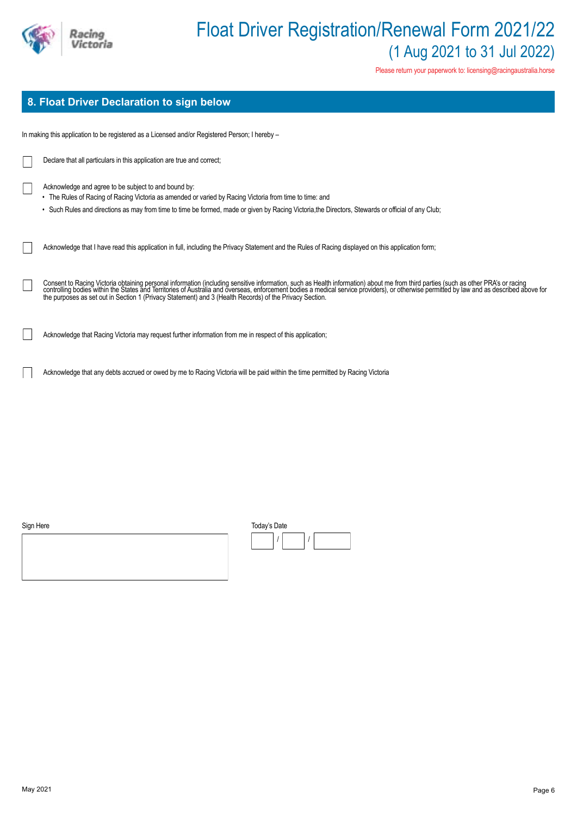

# **8. Float Driver Declaration to sign below**

In making this application to be registered as a Licensed and/or Registered Person; I hereby –

| Declare that all particulars in this application are true and correct;                                                                                                                                                                                                                                                                    |
|-------------------------------------------------------------------------------------------------------------------------------------------------------------------------------------------------------------------------------------------------------------------------------------------------------------------------------------------|
| Acknowledge and agree to be subject to and bound by:<br>• The Rules of Racing of Racing Victoria as amended or varied by Racing Victoria from time to time: and<br>• Such Rules and directions as may from time to time be formed, made or given by Racing Victoria, the Directors, Stewards or official of any Club;                     |
| Acknowledge that I have read this application in full, including the Privacy Statement and the Rules of Racing displayed on this application form;                                                                                                                                                                                        |
| Consent to Racing Victoria obtaining personal information (including sensitive information, such as Health information) about me from third parties (such as other PRA's or racing controlling bodies within the States and Te<br>the purposes as set out in Section 1 (Privacy Statement) and 3 (Health Records) of the Privacy Section. |
| Acknowledge that Racing Victoria may request further information from me in respect of this application;                                                                                                                                                                                                                                  |
| Acknowledge that any debts accrued or owed by me to Racing Victoria will be paid within the time permitted by Racing Victoria                                                                                                                                                                                                             |

Sign Here

| Today's Date |  |  |  |
|--------------|--|--|--|
|              |  |  |  |